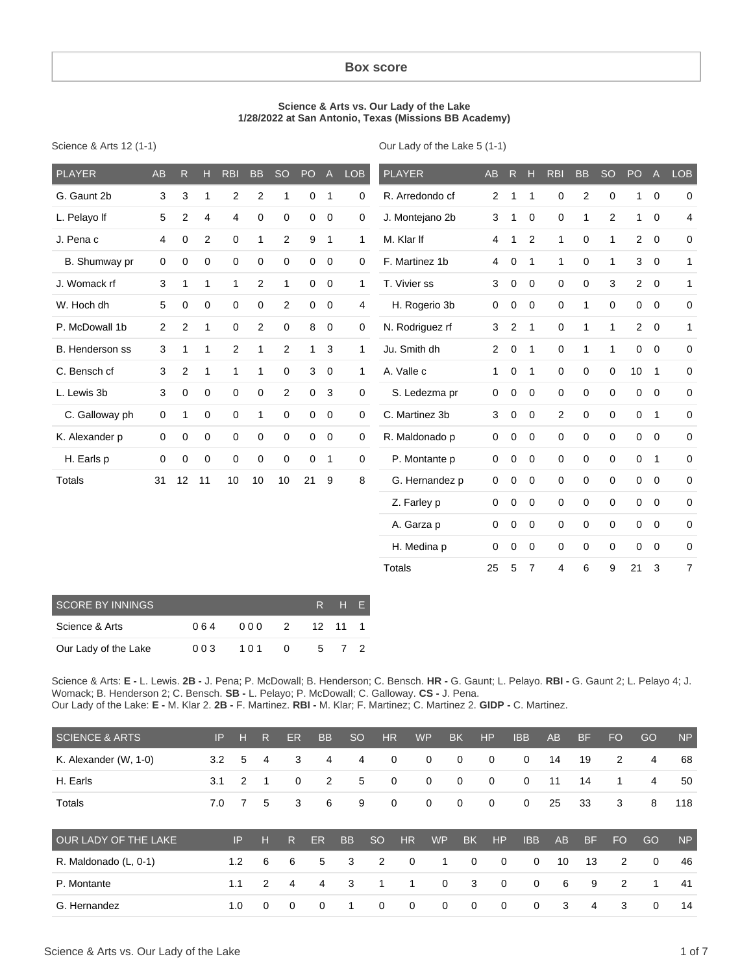#### **Box score**

#### **Science & Arts vs. Our Lady of the Lake 1/28/2022 at San Antonio, Texas (Missions BB Academy)**

Science & Arts 12 (1-1)

Our Lady of the Lake 5 (1-1)

| <b>PLAYER</b>   | <b>AB</b>      | $\mathsf{R}$              | H              | <b>RBI</b>  | <b>BB</b>      | <b>SO</b>      | PO           | A              | <b>LOB</b>   | <b>PLAYER</b>   | AB             | R           | H              | <b>RBI</b>     | <b>BB</b>      | <b>SO</b>      | PO              | $\mathsf{A}$   | <b>LOB</b>     |
|-----------------|----------------|---------------------------|----------------|-------------|----------------|----------------|--------------|----------------|--------------|-----------------|----------------|-------------|----------------|----------------|----------------|----------------|-----------------|----------------|----------------|
| G. Gaunt 2b     | 3              | $\ensuremath{\mathsf{3}}$ | 1              | $\sqrt{2}$  | $\overline{c}$ | 1              | 0            | $\overline{1}$ | 0            | R. Arredondo cf | $\mathbf{2}$   | 1           | 1              | $\pmb{0}$      | $\overline{2}$ | 0              | 1.              | $\overline{0}$ | $\mathbf 0$    |
| L. Pelayo If    | 5              | $\overline{c}$            | 4              | 4           | 0              | 0              | $\mathbf 0$  | $\mathbf 0$    | 0            | J. Montejano 2b | 3              | 1           | 0              | $\mathbf 0$    | 1              | $\overline{2}$ | 1               | $\mathbf 0$    | 4              |
| J. Pena c       | 4              | 0                         | $\overline{2}$ | $\mathbf 0$ | 1              | $\overline{2}$ | 9            | 1              | $\mathbf{1}$ | M. Klar If      | 4              | 1           | 2              | $\mathbf{1}$   | 0              | 1              | $\overline{2}$  | $\mathbf 0$    | 0              |
| B. Shumway pr   | 0              | $\mathbf 0$               | $\mathbf 0$    | $\mathbf 0$ | $\mathbf 0$    | 0              | 0            | $\mathbf 0$    | 0            | F. Martinez 1b  | 4              | 0           | $\mathbf 1$    | $\mathbf{1}$   | $\mathbf 0$    | 1              | 3               | $\mathbf 0$    | $\mathbf{1}$   |
| J. Womack rf    | 3              | 1                         | $\mathbf{1}$   | 1           | $\mathbf{2}$   | 1              | 0            | $\mathbf 0$    | 1            | T. Vivier ss    | 3              | $\mathbf 0$ | 0              | $\mathbf 0$    | 0              | 3              | $\overline{2}$  | $\overline{0}$ | $\mathbf{1}$   |
| W. Hoch dh      | 5              | $\mathbf 0$               | $\mathbf 0$    | $\mathbf 0$ | 0              | $\overline{2}$ | 0            | $\mathbf 0$    | 4            | H. Rogerio 3b   | 0              | $\mathbf 0$ | $\mathbf 0$    | $\mathbf 0$    | 1              | $\mathbf 0$    | $\mathbf 0$     | $\mathbf 0$    | 0              |
| P. McDowall 1b  | $\overline{2}$ | $\overline{2}$            | 1              | $\mathbf 0$ | 2              | 0              | 8            | 0              | 0            | N. Rodriguez rf | 3              | 2           | 1              | $\mathbf 0$    | 1              | 1              | 2               | $\mathbf 0$    | 1              |
| B. Henderson ss | 3              | 1                         | 1              | 2           | 1              | $\overline{2}$ | $\mathbf{1}$ | 3              | $\mathbf{1}$ | Ju. Smith dh    | $\overline{2}$ | $\mathbf 0$ | 1              | $\mathbf 0$    | 1              | $\mathbf{1}$   | $\mathbf 0$     | $\mathbf 0$    | 0              |
| C. Bensch cf    | 3              | $\overline{2}$            | $\mathbf{1}$   | 1           | 1              | 0              | 3            | $\mathbf 0$    | $\mathbf{1}$ | A. Valle c      | $\mathbf{1}$   | $\mathbf 0$ | 1              | $\Omega$       | $\mathbf 0$    | $\mathbf 0$    | 10 <sup>1</sup> | $\overline{1}$ | $\mathbf 0$    |
| L. Lewis 3b     | 3              | $\mathbf 0$               | $\mathbf 0$    | $\mathbf 0$ | 0              | $\overline{2}$ | $\mathbf 0$  | 3              | 0            | S. Ledezma pr   | $\mathbf 0$    | $\mathbf 0$ | $\Omega$       | $\mathbf 0$    | $\mathbf 0$    | $\mathbf 0$    | $\mathbf 0$     | $\mathbf 0$    | $\mathbf 0$    |
| C. Galloway ph  | 0              | 1                         | 0              | $\mathbf 0$ | 1              | 0              | 0            | $\mathbf 0$    | 0            | C. Martinez 3b  | 3              | $\mathbf 0$ | $\Omega$       | $\overline{2}$ | $\mathbf 0$    | $\mathbf 0$    | $\mathbf 0$     | $\overline{1}$ | 0              |
| K. Alexander p  | 0              | $\mathbf 0$               | $\mathbf 0$    | $\mathbf 0$ | $\mathbf 0$    | 0              | 0            | $\mathbf 0$    | 0            | R. Maldonado p  | $\mathbf 0$    | $\mathbf 0$ | $\Omega$       | $\mathbf 0$    | $\mathbf 0$    | $\mathbf 0$    | $\mathbf 0$     | $\mathbf 0$    | $\mathbf 0$    |
| H. Earls p      | 0              | $\mathbf 0$               | $\mathbf 0$    | $\mathbf 0$ | $\mathbf 0$    | 0              | 0            | 1              | 0            | P. Montante p   | $\mathbf 0$    | $\mathbf 0$ | 0              | $\mathbf 0$    | $\mathbf 0$    | $\mathbf 0$    | $\mathbf 0$     | $\overline{1}$ | $\mathbf 0$    |
| Totals          | 31             | 12                        | 11             | 10          | 10             | 10             | 21           | 9              | 8            | G. Hernandez p  | $\mathbf 0$    | $\mathbf 0$ | $\Omega$       | $\mathbf 0$    | $\mathbf 0$    | $\Omega$       | $\mathbf 0$     | $\mathbf 0$    | 0              |
|                 |                |                           |                |             |                |                |              |                |              | Z. Farley p     | $\mathbf 0$    | $\mathbf 0$ | $\Omega$       | $\mathbf 0$    | $\mathbf 0$    | $\Omega$       | $\mathbf 0$     | $\overline{0}$ | 0              |
|                 |                |                           |                |             |                |                |              |                |              | A. Garza p      | $\mathbf 0$    | 0           | $\mathbf 0$    | $\mathbf 0$    | $\mathbf 0$    | $\mathbf 0$    | 0               | $\overline{0}$ | 0              |
|                 |                |                           |                |             |                |                |              |                |              | H. Medina p     | $\mathbf 0$    | $\mathbf 0$ | $\mathbf 0$    | $\mathbf 0$    | $\mathbf 0$    | $\Omega$       | $\mathbf 0$     | $\mathbf 0$    | 0              |
|                 |                |                           |                |             |                |                |              |                |              | <b>Totals</b>   | 25             | 5           | $\overline{7}$ | $\overline{4}$ | 6              | 9              | 21              | 3              | $\overline{7}$ |

| <b>SCORE BY INNINGS</b> |     |     |           |         | R H F |  |
|-------------------------|-----|-----|-----------|---------|-------|--|
| Science & Arts          | 064 | 000 | $\cdot$ 2 | 12 11 1 |       |  |
| Our Lady of the Lake    | 003 | 101 | - 0       | 5       | 72    |  |

Science & Arts: **E -** L. Lewis. **2B -** J. Pena; P. McDowall; B. Henderson; C. Bensch. **HR -** G. Gaunt; L. Pelayo. **RBI -** G. Gaunt 2; L. Pelayo 4; J. Womack; B. Henderson 2; C. Bensch. **SB -** L. Pelayo; P. McDowall; C. Galloway. **CS -** J. Pena. Our Lady of the Lake: **E -** M. Klar 2. **2B -** F. Martinez. **RBI -** M. Klar; F. Martinez; C. Martinez 2. **GIDP -** C. Martinez.

| <b>SCIENCE &amp; ARTS</b> | IP  | н              | R        | <b>ER</b>   | <b>BB</b>      | <b>SO</b> |               | HR           | <b>WP</b>   | <b>BK</b>   | HP          | <b>IBB</b>  | AB | <b>BF</b> | <b>FO</b>      | GO             | <b>NP</b> |
|---------------------------|-----|----------------|----------|-------------|----------------|-----------|---------------|--------------|-------------|-------------|-------------|-------------|----|-----------|----------------|----------------|-----------|
| K. Alexander (W, 1-0)     | 3.2 | 5              | 4        | 3           | 4              | 4         |               | $\mathbf 0$  | 0           | $\mathbf 0$ | $\mathbf 0$ | $\mathbf 0$ | 14 | 19        | 2              | $\overline{4}$ | 68        |
| H. Earls                  | 3.1 | 2              | - 1      | $\mathbf 0$ | $\overline{2}$ | 5         |               | $\mathbf 0$  | $\mathbf 0$ | $\mathbf 0$ | $\mathbf 0$ | $\mathbf 0$ | 11 | 14        | 1              | $\overline{4}$ | 50        |
| Totals                    | 7.0 | $\overline{7}$ | 5        | 3           | 6              | 9         |               | $\mathbf 0$  | 0           | $\mathbf 0$ | $\mathbf 0$ | $\mathbf 0$ | 25 | 33        | 3              | 8              | 118       |
| OUR LADY OF THE LAKE      |     | IP             | н        | R.          | <b>ER</b>      | <b>BB</b> | <sub>SO</sub> | <b>HR</b>    | <b>WP</b>   | <b>BK</b>   | HP          | <b>IBB</b>  | AB | <b>BF</b> | <b>FO</b>      | GO             | <b>NP</b> |
| R. Maldonado (L, 0-1)     |     | 1.2            | 6        | 6           | 5              | 3         | 2             | $\mathbf{0}$ | 1           | $\Omega$    | $\mathbf 0$ | $\mathbf 0$ | 10 | 13        | 2              | 0              | 46        |
| P. Montante               |     | 1.1            | 2        | 4           | 4              | 3         | 1             | 1            | $\mathbf 0$ | 3           | $\mathbf 0$ | $\mathbf 0$ | 6  | 9         | $\overline{2}$ | 1              | 41        |
| G. Hernandez              |     | 1.0            | $\Omega$ | $\Omega$    | $\Omega$       | 1         | $\mathbf 0$   | $\mathbf 0$  | 0           | $\Omega$    | $\mathbf 0$ | $\mathbf 0$ | 3  | 4         | 3              | $\Omega$       | 14        |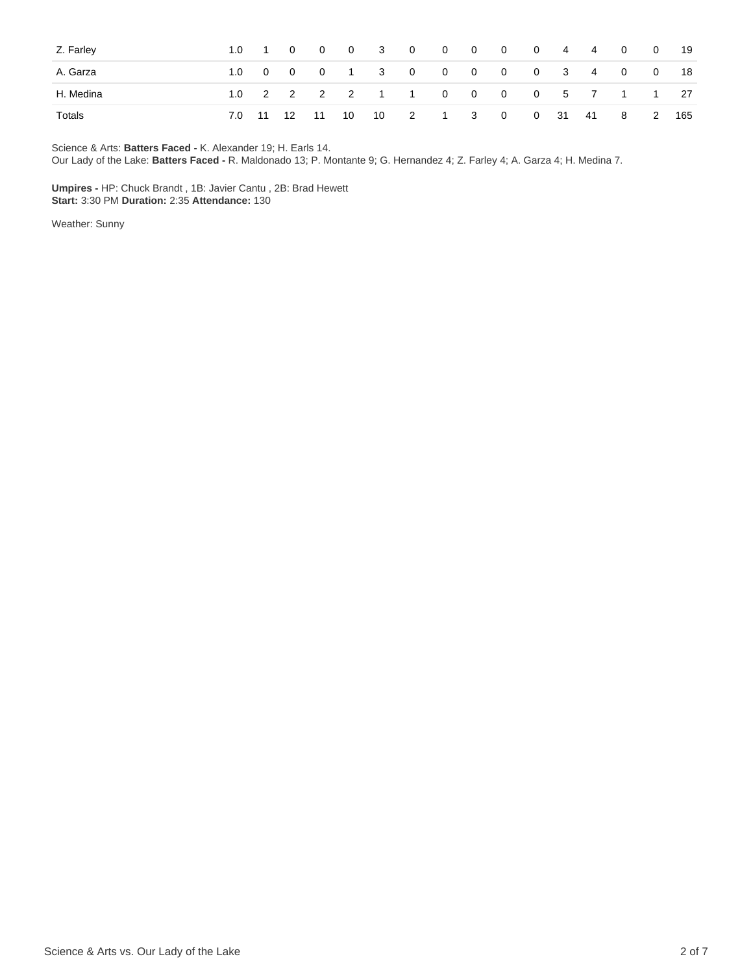| Z. Farley |  |  |  | 1.0 1 0 0 0 3 0 0 0 0 0 4 4 0 0        |  |  |  | 19   |
|-----------|--|--|--|----------------------------------------|--|--|--|------|
| A. Garza  |  |  |  | 1.0 0 0 0 1 3 0 0 0 0 0 3 4 0 0        |  |  |  | - 18 |
| H. Medina |  |  |  | 1.0 2 2 2 2 1 1 0 0 0 0 5 7 1 1 27     |  |  |  |      |
| Totals    |  |  |  | 7.0 11 12 11 10 10 2 1 3 0 0 31 41 8 2 |  |  |  | 165  |

Science & Arts: **Batters Faced -** K. Alexander 19; H. Earls 14.

Our Lady of the Lake: **Batters Faced -** R. Maldonado 13; P. Montante 9; G. Hernandez 4; Z. Farley 4; A. Garza 4; H. Medina 7.

**Umpires -** HP: Chuck Brandt , 1B: Javier Cantu , 2B: Brad Hewett **Start:** 3:30 PM **Duration:** 2:35 **Attendance:** 130

Weather: Sunny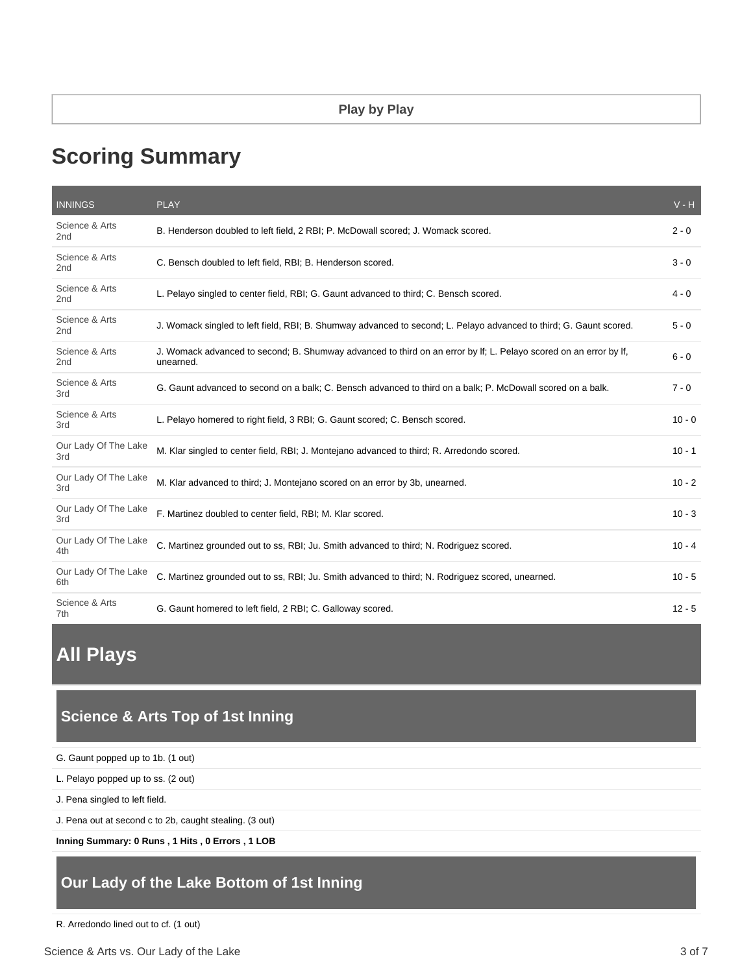# **Scoring Summary**

| <b>INNINGS</b>                    | <b>PLAY</b>                                                                                                                    | $V - H$  |
|-----------------------------------|--------------------------------------------------------------------------------------------------------------------------------|----------|
| Science & Arts<br>2 <sub>nd</sub> | B. Henderson doubled to left field, 2 RBI; P. McDowall scored; J. Womack scored.                                               | $2 - 0$  |
| Science & Arts<br>2nd             | C. Bensch doubled to left field, RBI; B. Henderson scored.                                                                     | $3 - 0$  |
| Science & Arts<br>2 <sub>nd</sub> | L. Pelayo singled to center field, RBI; G. Gaunt advanced to third; C. Bensch scored.                                          | $4 - 0$  |
| Science & Arts<br>2nd             | J. Womack singled to left field, RBI; B. Shumway advanced to second; L. Pelayo advanced to third; G. Gaunt scored.             | $5 - 0$  |
| Science & Arts<br>2nd             | J. Womack advanced to second; B. Shumway advanced to third on an error by If; L. Pelayo scored on an error by If,<br>unearned. | $6 - 0$  |
| Science & Arts<br>3rd             | G. Gaunt advanced to second on a balk; C. Bensch advanced to third on a balk; P. McDowall scored on a balk.                    | $7 - 0$  |
| Science & Arts<br>3rd             | L. Pelayo homered to right field, 3 RBI; G. Gaunt scored; C. Bensch scored.                                                    | $10 - 0$ |
| Our Lady Of The Lake<br>3rd       | M. Klar singled to center field, RBI; J. Montejano advanced to third; R. Arredondo scored.                                     | $10 - 1$ |
| Our Lady Of The Lake<br>3rd       | M. Klar advanced to third; J. Montejano scored on an error by 3b, unearned.                                                    | $10 - 2$ |
| Our Lady Of The Lake<br>3rd       | F. Martinez doubled to center field, RBI; M. Klar scored.                                                                      | $10 - 3$ |
| Our Lady Of The Lake<br>4th       | C. Martinez grounded out to ss, RBI; Ju. Smith advanced to third; N. Rodriguez scored.                                         | $10 - 4$ |
| Our Lady Of The Lake<br>6th       | C. Martinez grounded out to ss, RBI; Ju. Smith advanced to third; N. Rodriguez scored, unearned.                               | $10 - 5$ |
| Science & Arts<br>7th             | G. Gaunt homered to left field, 2 RBI; C. Galloway scored.                                                                     | $12 - 5$ |

**All Plays**

# **Science & Arts Top of 1st Inning**

| G. Gaunt popped up to 1b. (1 out) |  |  |
|-----------------------------------|--|--|
|-----------------------------------|--|--|

L. Pelayo popped up to ss. (2 out)

J. Pena singled to left field.

J. Pena out at second c to 2b, caught stealing. (3 out)

**Inning Summary: 0 Runs , 1 Hits , 0 Errors , 1 LOB**

# **Our Lady of the Lake Bottom of 1st Inning**

R. Arredondo lined out to cf. (1 out)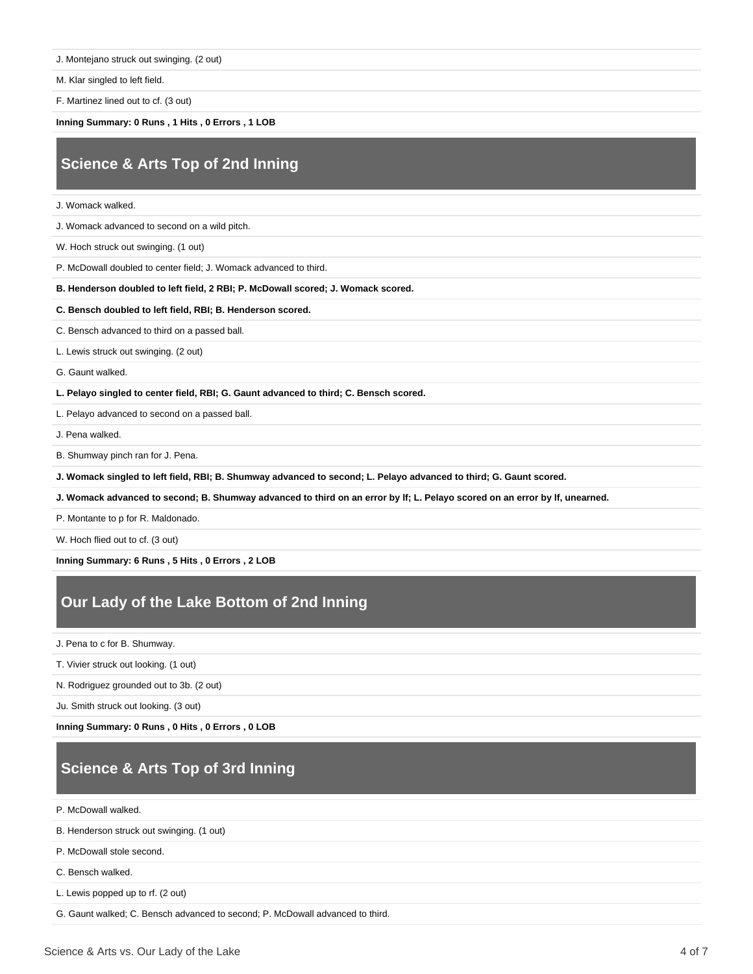J. Montejano struck out swinging. (2 out)

M. Klar singled to left field.

F. Martinez lined out to cf. (3 out)

**Inning Summary: 0 Runs , 1 Hits , 0 Errors , 1 LOB**

# **Science & Arts Top of 2nd Inning**

J. Womack walked.

J. Womack advanced to second on a wild pitch.

W. Hoch struck out swinging. (1 out)

P. McDowall doubled to center field; J. Womack advanced to third.

**B. Henderson doubled to left field, 2 RBI; P. McDowall scored; J. Womack scored.**

**C. Bensch doubled to left field, RBI; B. Henderson scored.**

C. Bensch advanced to third on a passed ball.

L. Lewis struck out swinging. (2 out)

G. Gaunt walked.

**L. Pelayo singled to center field, RBI; G. Gaunt advanced to third; C. Bensch scored.**

L. Pelayo advanced to second on a passed ball.

J. Pena walked.

B. Shumway pinch ran for J. Pena.

**J. Womack singled to left field, RBI; B. Shumway advanced to second; L. Pelayo advanced to third; G. Gaunt scored.**

**J. Womack advanced to second; B. Shumway advanced to third on an error by lf; L. Pelayo scored on an error by lf, unearned.**

P. Montante to p for R. Maldonado.

W. Hoch flied out to cf. (3 out)

**Inning Summary: 6 Runs , 5 Hits , 0 Errors , 2 LOB**

### **Our Lady of the Lake Bottom of 2nd Inning**

J. Pena to c for B. Shumway.

T. Vivier struck out looking. (1 out)

N. Rodriguez grounded out to 3b. (2 out)

Ju. Smith struck out looking. (3 out)

**Inning Summary: 0 Runs , 0 Hits , 0 Errors , 0 LOB**

# **Science & Arts Top of 3rd Inning**

P. McDowall walked.

B. Henderson struck out swinging. (1 out)

P. McDowall stole second.

C. Bensch walked.

L. Lewis popped up to rf. (2 out)

G. Gaunt walked; C. Bensch advanced to second; P. McDowall advanced to third.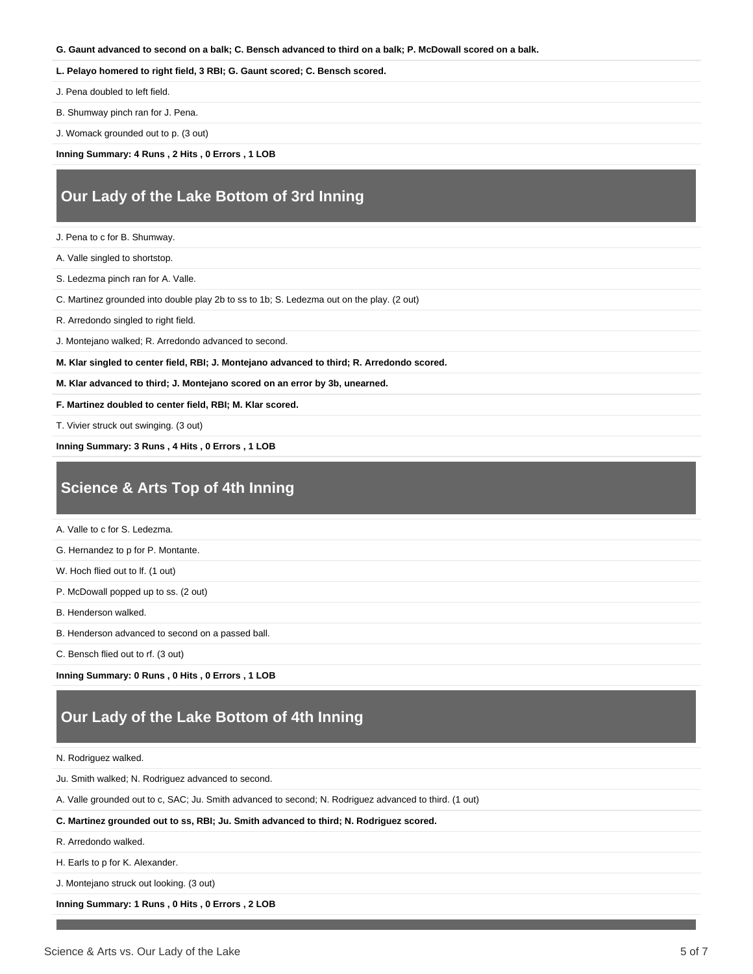#### **G. Gaunt advanced to second on a balk; C. Bensch advanced to third on a balk; P. McDowall scored on a balk.**

#### **L. Pelayo homered to right field, 3 RBI; G. Gaunt scored; C. Bensch scored.**

J. Pena doubled to left field.

B. Shumway pinch ran for J. Pena.

J. Womack grounded out to p. (3 out)

**Inning Summary: 4 Runs , 2 Hits , 0 Errors , 1 LOB**

#### **Our Lady of the Lake Bottom of 3rd Inning**

J. Pena to c for B. Shumway.

A. Valle singled to shortstop.

S. Ledezma pinch ran for A. Valle.

C. Martinez grounded into double play 2b to ss to 1b; S. Ledezma out on the play. (2 out)

R. Arredondo singled to right field.

J. Montejano walked; R. Arredondo advanced to second.

**M. Klar singled to center field, RBI; J. Montejano advanced to third; R. Arredondo scored.**

**M. Klar advanced to third; J. Montejano scored on an error by 3b, unearned.**

**F. Martinez doubled to center field, RBI; M. Klar scored.**

T. Vivier struck out swinging. (3 out)

**Inning Summary: 3 Runs , 4 Hits , 0 Errors , 1 LOB**

### **Science & Arts Top of 4th Inning**

A. Valle to c for S. Ledezma.

G. Hernandez to p for P. Montante.

W. Hoch flied out to lf. (1 out)

P. McDowall popped up to ss. (2 out)

B. Henderson walked.

B. Henderson advanced to second on a passed ball.

C. Bensch flied out to rf. (3 out)

**Inning Summary: 0 Runs , 0 Hits , 0 Errors , 1 LOB**

#### **Our Lady of the Lake Bottom of 4th Inning**

N. Rodriguez walked.

Ju. Smith walked; N. Rodriguez advanced to second.

A. Valle grounded out to c, SAC; Ju. Smith advanced to second; N. Rodriguez advanced to third. (1 out)

**C. Martinez grounded out to ss, RBI; Ju. Smith advanced to third; N. Rodriguez scored.**

R. Arredondo walked.

H. Earls to p for K. Alexander.

J. Montejano struck out looking. (3 out)

**Inning Summary: 1 Runs , 0 Hits , 0 Errors , 2 LOB**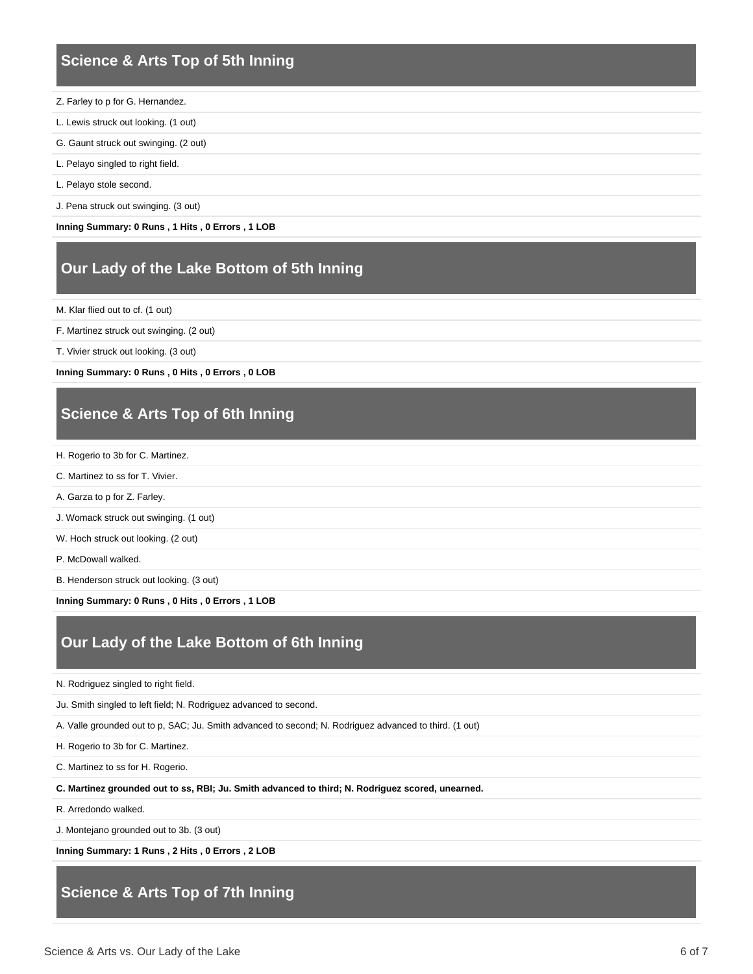### **Science & Arts Top of 5th Inning**

- Z. Farley to p for G. Hernandez.
- L. Lewis struck out looking. (1 out)
- G. Gaunt struck out swinging. (2 out)
- L. Pelayo singled to right field.
- L. Pelayo stole second.
- J. Pena struck out swinging. (3 out)

**Inning Summary: 0 Runs , 1 Hits , 0 Errors , 1 LOB**

#### **Our Lady of the Lake Bottom of 5th Inning**

M. Klar flied out to cf. (1 out)

- F. Martinez struck out swinging. (2 out)
- T. Vivier struck out looking. (3 out)

**Inning Summary: 0 Runs , 0 Hits , 0 Errors , 0 LOB**

# **Science & Arts Top of 6th Inning**

- H. Rogerio to 3b for C. Martinez.
- C. Martinez to ss for T. Vivier.
- A. Garza to p for Z. Farley.

J. Womack struck out swinging. (1 out)

- W. Hoch struck out looking. (2 out)
- P. McDowall walked.

B. Henderson struck out looking. (3 out)

**Inning Summary: 0 Runs , 0 Hits , 0 Errors , 1 LOB**

### **Our Lady of the Lake Bottom of 6th Inning**

- N. Rodriguez singled to right field.
- Ju. Smith singled to left field; N. Rodriguez advanced to second.

A. Valle grounded out to p, SAC; Ju. Smith advanced to second; N. Rodriguez advanced to third. (1 out)

- H. Rogerio to 3b for C. Martinez.
- C. Martinez to ss for H. Rogerio.

**C. Martinez grounded out to ss, RBI; Ju. Smith advanced to third; N. Rodriguez scored, unearned.**

R. Arredondo walked.

J. Montejano grounded out to 3b. (3 out)

**Inning Summary: 1 Runs , 2 Hits , 0 Errors , 2 LOB**

### **Science & Arts Top of 7th Inning**